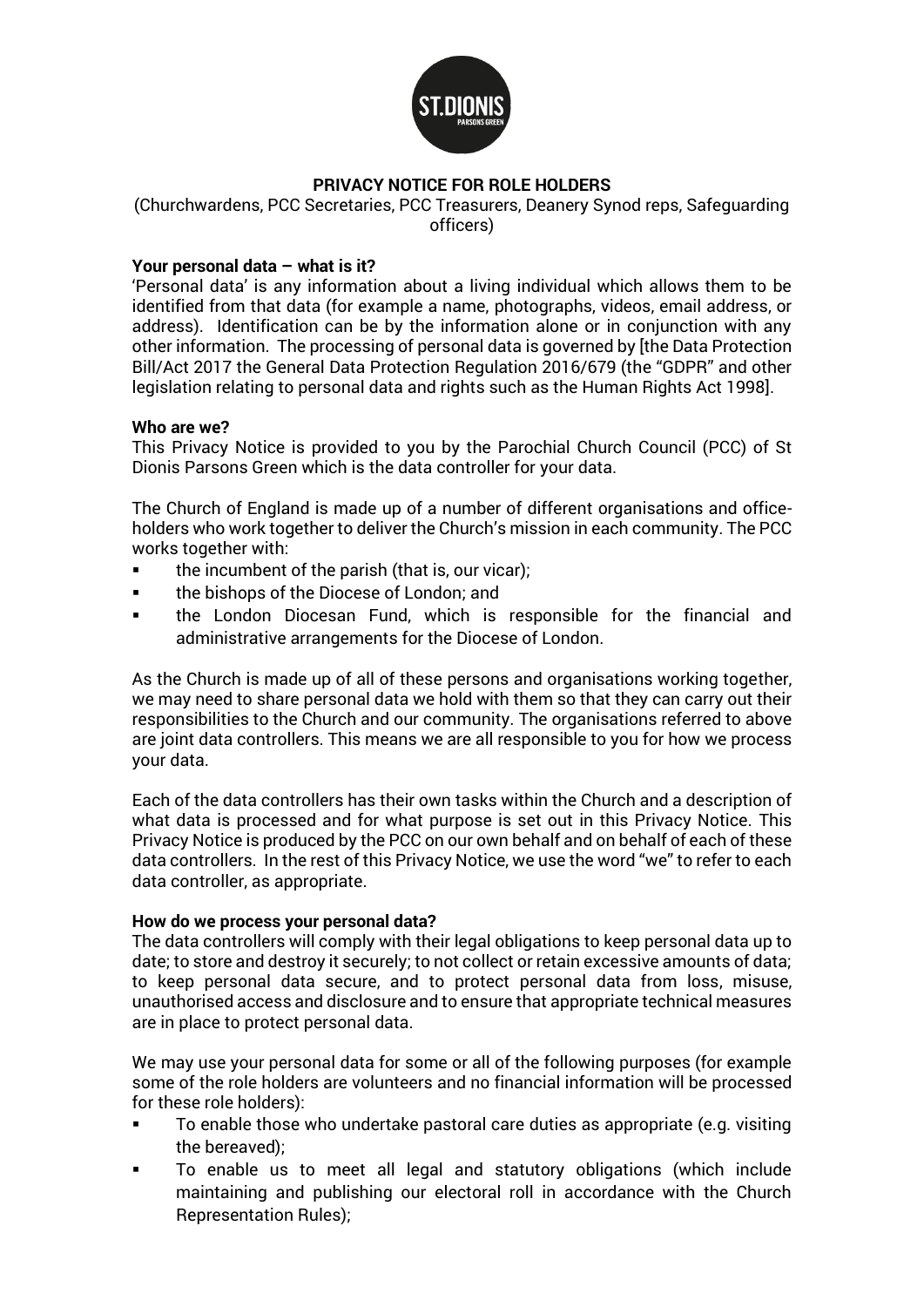

# **PRIVACY NOTICE FOR ROLE HOLDERS**

(Churchwardens, PCC Secretaries, PCC Treasurers, Deanery Synod reps, Safeguarding officers)

### **Your personal data – what is it?**

'Personal data' is any information about a living individual which allows them to be identified from that data (for example a name, photographs, videos, email address, or address). Identification can be by the information alone or in conjunction with any other information. The processing of personal data is governed by [the Data Protection Bill/Act 2017 the General Data Protection Regulation 2016/679 (the "GDPR" and other legislation relating to personal data and rights such as the Human Rights Act 1998].

#### **Who are we?**

This Privacy Notice is provided to you by the Parochial Church Council (PCC) of St Dionis Parsons Green which is the data controller for your data.

The Church of England is made up of a number of different organisations and officeholders who work together to deliver the Church's mission in each community. The PCC works together with:

- the incumbent of the parish (that is, our vicar);
- the bishops of the Diocese of London; and
- the London Diocesan Fund, which is responsible for the financial and administrative arrangements for the Diocese of London.

As the Church is made up of all of these persons and organisations working together, we may need to share personal data we hold with them so that they can carry out their responsibilities to the Church and our community. The organisations referred to above are joint data controllers. This means we are all responsible to you for how we process your data.

Each of the data controllers has their own tasks within the Church and a description of what data is processed and for what purpose is set out in this Privacy Notice. This Privacy Notice is produced by the PCC on our own behalf and on behalf of each of these data controllers. In the rest of this Privacy Notice, we use the word "we" to refer to each data controller, as appropriate.

#### **How do we process your personal data?**

The data controllers will comply with their legal obligations to keep personal data up to date; to store and destroy it securely; to not collect or retain excessive amounts of data; to keep personal data secure, and to protect personal data from loss, misuse, unauthorised access and disclosure and to ensure that appropriate technical measures are in place to protect personal data.

We may use your personal data for some or all of the following purposes (for example some of the role holders are volunteers and no financial information will be processed for these role holders):

- To enable those who undertake pastoral care duties as appropriate (e.g. visiting the bereaved);
- To enable us to meet all legal and statutory obligations (which include maintaining and publishing our electoral roll in accordance with the Church Representation Rules);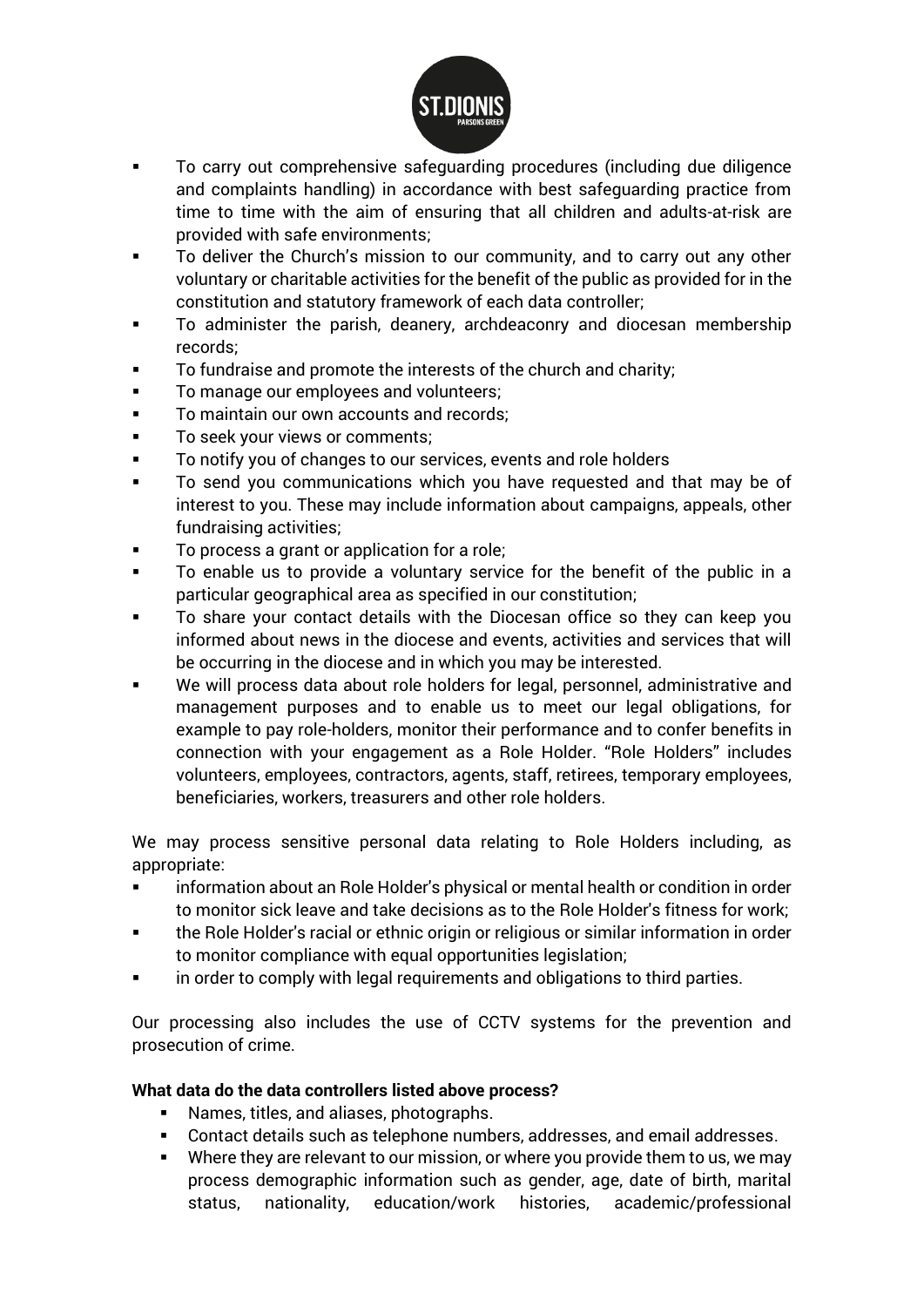

- To carry out comprehensive safeguarding procedures (including due diligence and complaints handling) in accordance with best safeguarding practice from time to time with the aim of ensuring that all children and adults-at-risk are provided with safe environments;
- To deliver the Church's mission to our community, and to carry out any other voluntary or charitable activities for the benefit of the public as provided for in the constitution and statutory framework of each data controller;
- To administer the parish, deanery, archdeaconry and diocesan membership records;
- To fundraise and promote the interests of the church and charity;
- To manage our employees and volunteers;
- To maintain our own accounts and records;
- To seek your views or comments;
- To notify you of changes to our services, events and role holders
- To send you communications which you have requested and that may be of interest to you. These may include information about campaigns, appeals, other fundraising activities;
- To process a grant or application for a role;
- To enable us to provide a voluntary service for the benefit of the public in a particular geographical area as specified in our constitution;
- To share your contact details with the Diocesan office so they can keep you informed about news in the diocese and events, activities and services that will be occurring in the diocese and in which you may be interested.
- We will process data about role holders for legal, personnel, administrative and management purposes and to enable us to meet our legal obligations, for example to pay role-holders, monitor their performance and to confer benefits in connection with your engagement as a Role Holder. "Role Holders" includes volunteers, employees, contractors, agents, staff, retirees, temporary employees, beneficiaries, workers, treasurers and other role holders.

We may process sensitive personal data relating to Role Holders including, as appropriate:

- information about an Role Holder's physical or mental health or condition in order to monitor sick leave and take decisions as to the Role Holder's fitness for work;
- the Role Holder's racial or ethnic origin or religious or similar information in order to monitor compliance with equal opportunities legislation;
- in order to comply with legal requirements and obligations to third parties.

Our processing also includes the use of CCTV systems for the prevention and prosecution of crime.

## **What data do the data controllers listed above process?**

- Names, titles, and aliases, photographs.
- Contact details such as telephone numbers, addresses, and email addresses.
- Where they are relevant to our mission, or where you provide them to us, we may process demographic information such as gender, age, date of birth, marital status, nationality, education/work histories, academic/professional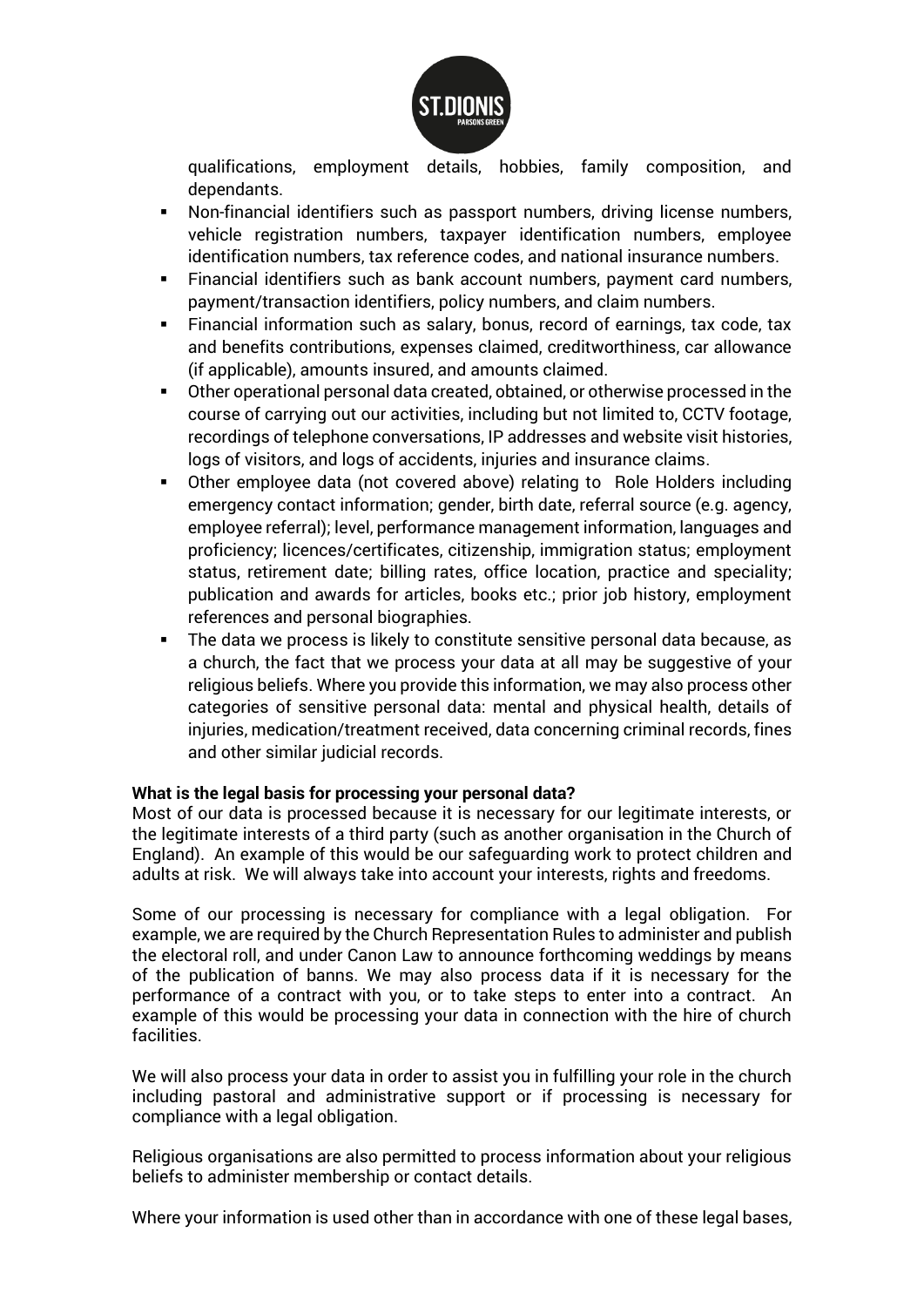

qualifications, employment details, hobbies, family composition, and dependants.

- Non-financial identifiers such as passport numbers, driving license numbers, vehicle registration numbers, taxpayer identification numbers, employee identification numbers, tax reference codes, and national insurance numbers.
- Financial identifiers such as bank account numbers, payment card numbers, payment/transaction identifiers, policy numbers, and claim numbers.
- Financial information such as salary, bonus, record of earnings, tax code, tax and benefits contributions, expenses claimed, creditworthiness, car allowance (if applicable), amounts insured, and amounts claimed.
- Other operational personal data created, obtained, or otherwise processed in the course of carrying out our activities, including but not limited to, CCTV footage, recordings of telephone conversations, IP addresses and website visit histories, logs of visitors, and logs of accidents, injuries and insurance claims.
- Other employee data (not covered above) relating to Role Holders including emergency contact information; gender, birth date, referral source (e.g. agency, employee referral); level, performance management information, languages and proficiency; licences/certificates, citizenship, immigration status; employment status, retirement date; billing rates, office location, practice and speciality; publication and awards for articles, books etc.; prior job history, employment references and personal biographies.
- The data we process is likely to constitute sensitive personal data because, as a church, the fact that we process your data at all may be suggestive of your religious beliefs. Where you provide this information, we may also process other categories of sensitive personal data: mental and physical health, details of injuries, medication/treatment received, data concerning criminal records, fines and other similar judicial records.

#### **What is the legal basis for processing your personal data?**

Most of our data is processed because it is necessary for our legitimate interests, or the legitimate interests of a third party (such as another organisation in the Church of England). An example of this would be our safeguarding work to protect children and adults at risk. We will always take into account your interests, rights and freedoms.

Some of our processing is necessary for compliance with a legal obligation. For example, we are required by the Church Representation Rules to administer and publish the electoral roll, and under Canon Law to announce forthcoming weddings by means of the publication of banns. We may also process data if it is necessary for the performance of a contract with you, or to take steps to enter into a contract. An example of this would be processing your data in connection with the hire of church facilities.

We will also process your data in order to assist you in fulfilling your role in the church including pastoral and administrative support or if processing is necessary for compliance with a legal obligation.

Religious organisations are also permitted to process information about your religious beliefs to administer membership or contact details.

Where your information is used other than in accordance with one of these legal bases,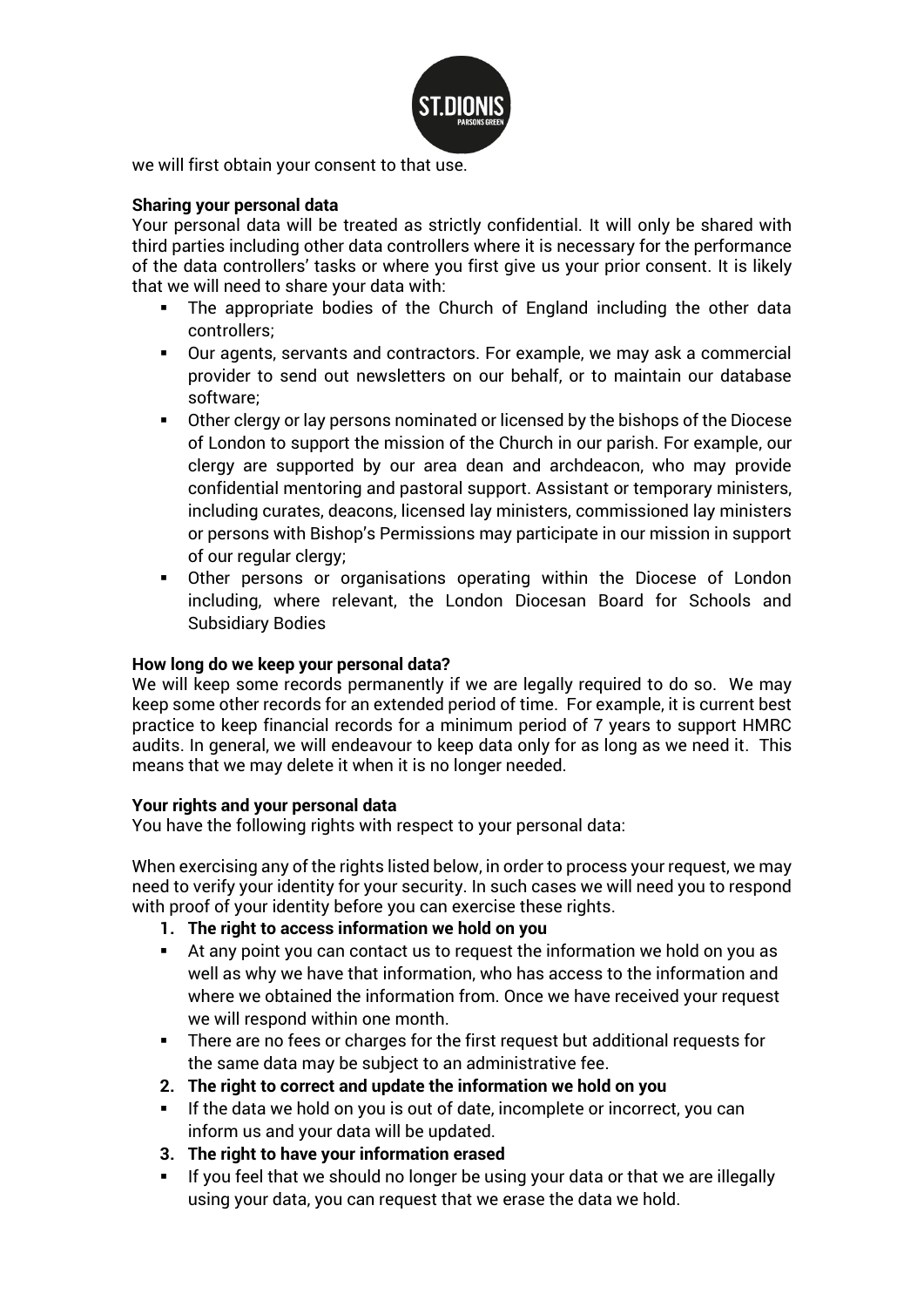

we will first obtain your consent to that use.

### **Sharing your personal data**

Your personal data will be treated as strictly confidential. It will only be shared with third parties including other data controllers where it is necessary for the performance of the data controllers' tasks or where you first give us your prior consent. It is likely that we will need to share your data with:

- The appropriate bodies of the Church of England including the other data controllers;
- Our agents, servants and contractors. For example, we may ask a commercial provider to send out newsletters on our behalf, or to maintain our database software;
- Other clergy or lay persons nominated or licensed by the bishops of the Diocese of London to support the mission of the Church in our parish. For example, our clergy are supported by our area dean and archdeacon, who may provide confidential mentoring and pastoral support. Assistant or temporary ministers, including curates, deacons, licensed lay ministers, commissioned lay ministers or persons with Bishop's Permissions may participate in our mission in support of our regular clergy;
- Other persons or organisations operating within the Diocese of London including, where relevant, the London Diocesan Board for Schools and Subsidiary Bodies

#### **How long do we keep your personal data?**

We will keep some records permanently if we are legally required to do so. We may keep some other records for an extended period of time. For example, it is current best practice to keep financial records for a minimum period of 7 years to support HMRC audits. In general, we will endeavour to keep data only for as long as we need it. This means that we may delete it when it is no longer needed.

#### **Your rights and your personal data**

You have the following rights with respect to your personal data:

When exercising any of the rights listed below, in order to process your request, we may need to verify your identity for your security. In such cases we will need you to respond with proof of your identity before you can exercise these rights.

- **1. The right to access information we hold on you**
- At any point you can contact us to request the information we hold on you as well as why we have that information, who has access to the information and where we obtained the information from. Once we have received your request we will respond within one month.
- There are no fees or charges for the first request but additional requests for the same data may be subject to an administrative fee.
- **2. The right to correct and update the information we hold on you**
- If the data we hold on you is out of date, incomplete or incorrect, you can inform us and your data will be updated.
- **3. The right to have your information erased**
- If you feel that we should no longer be using your data or that we are illegally using your data, you can request that we erase the data we hold.